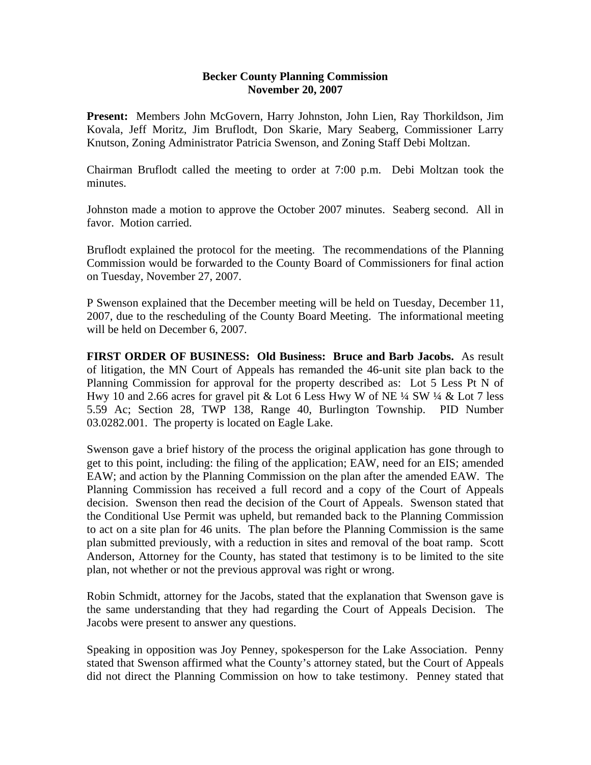### **Becker County Planning Commission November 20, 2007**

**Present:** Members John McGovern, Harry Johnston, John Lien, Ray Thorkildson, Jim Kovala, Jeff Moritz, Jim Bruflodt, Don Skarie, Mary Seaberg, Commissioner Larry Knutson, Zoning Administrator Patricia Swenson, and Zoning Staff Debi Moltzan.

Chairman Bruflodt called the meeting to order at 7:00 p.m. Debi Moltzan took the minutes.

Johnston made a motion to approve the October 2007 minutes. Seaberg second. All in favor. Motion carried.

Bruflodt explained the protocol for the meeting. The recommendations of the Planning Commission would be forwarded to the County Board of Commissioners for final action on Tuesday, November 27, 2007.

P Swenson explained that the December meeting will be held on Tuesday, December 11, 2007, due to the rescheduling of the County Board Meeting. The informational meeting will be held on December 6, 2007.

**FIRST ORDER OF BUSINESS: Old Business: Bruce and Barb Jacobs.** As result of litigation, the MN Court of Appeals has remanded the 46-unit site plan back to the Planning Commission for approval for the property described as: Lot 5 Less Pt N of Hwy 10 and 2.66 acres for gravel pit & Lot 6 Less Hwy W of NE ¼ SW ¼ & Lot 7 less 5.59 Ac; Section 28, TWP 138, Range 40, Burlington Township. PID Number 03.0282.001. The property is located on Eagle Lake.

Swenson gave a brief history of the process the original application has gone through to get to this point, including: the filing of the application; EAW, need for an EIS; amended EAW; and action by the Planning Commission on the plan after the amended EAW. The Planning Commission has received a full record and a copy of the Court of Appeals decision. Swenson then read the decision of the Court of Appeals. Swenson stated that the Conditional Use Permit was upheld, but remanded back to the Planning Commission to act on a site plan for 46 units. The plan before the Planning Commission is the same plan submitted previously, with a reduction in sites and removal of the boat ramp. Scott Anderson, Attorney for the County, has stated that testimony is to be limited to the site plan, not whether or not the previous approval was right or wrong.

Robin Schmidt, attorney for the Jacobs, stated that the explanation that Swenson gave is the same understanding that they had regarding the Court of Appeals Decision. The Jacobs were present to answer any questions.

Speaking in opposition was Joy Penney, spokesperson for the Lake Association. Penny stated that Swenson affirmed what the County's attorney stated, but the Court of Appeals did not direct the Planning Commission on how to take testimony. Penney stated that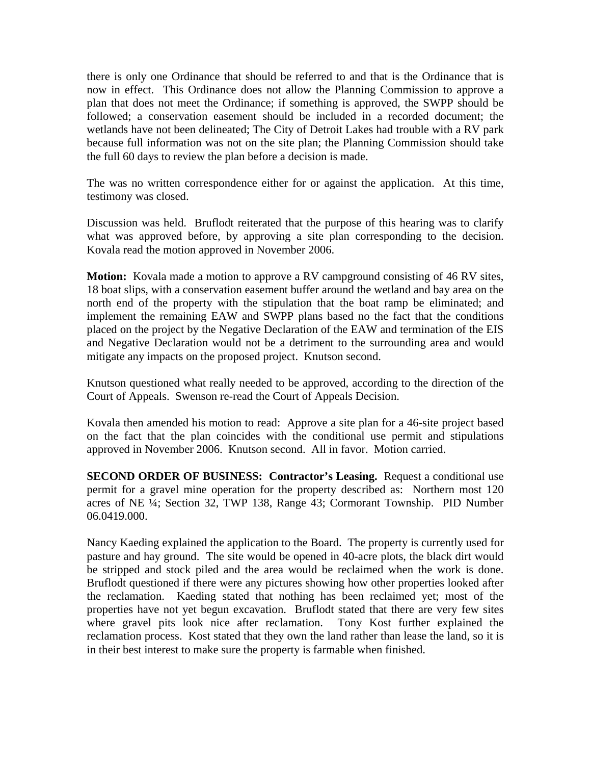there is only one Ordinance that should be referred to and that is the Ordinance that is now in effect. This Ordinance does not allow the Planning Commission to approve a plan that does not meet the Ordinance; if something is approved, the SWPP should be followed; a conservation easement should be included in a recorded document; the wetlands have not been delineated; The City of Detroit Lakes had trouble with a RV park because full information was not on the site plan; the Planning Commission should take the full 60 days to review the plan before a decision is made.

The was no written correspondence either for or against the application. At this time, testimony was closed.

Discussion was held. Bruflodt reiterated that the purpose of this hearing was to clarify what was approved before, by approving a site plan corresponding to the decision. Kovala read the motion approved in November 2006.

**Motion:** Kovala made a motion to approve a RV campground consisting of 46 RV sites, 18 boat slips, with a conservation easement buffer around the wetland and bay area on the north end of the property with the stipulation that the boat ramp be eliminated; and implement the remaining EAW and SWPP plans based no the fact that the conditions placed on the project by the Negative Declaration of the EAW and termination of the EIS and Negative Declaration would not be a detriment to the surrounding area and would mitigate any impacts on the proposed project. Knutson second.

Knutson questioned what really needed to be approved, according to the direction of the Court of Appeals. Swenson re-read the Court of Appeals Decision.

Kovala then amended his motion to read: Approve a site plan for a 46-site project based on the fact that the plan coincides with the conditional use permit and stipulations approved in November 2006. Knutson second. All in favor. Motion carried.

**SECOND ORDER OF BUSINESS: Contractor's Leasing.** Request a conditional use permit for a gravel mine operation for the property described as: Northern most 120 acres of NE ¼; Section 32, TWP 138, Range 43; Cormorant Township. PID Number 06.0419.000.

Nancy Kaeding explained the application to the Board. The property is currently used for pasture and hay ground. The site would be opened in 40-acre plots, the black dirt would be stripped and stock piled and the area would be reclaimed when the work is done. Bruflodt questioned if there were any pictures showing how other properties looked after the reclamation. Kaeding stated that nothing has been reclaimed yet; most of the properties have not yet begun excavation. Bruflodt stated that there are very few sites where gravel pits look nice after reclamation. Tony Kost further explained the reclamation process. Kost stated that they own the land rather than lease the land, so it is in their best interest to make sure the property is farmable when finished.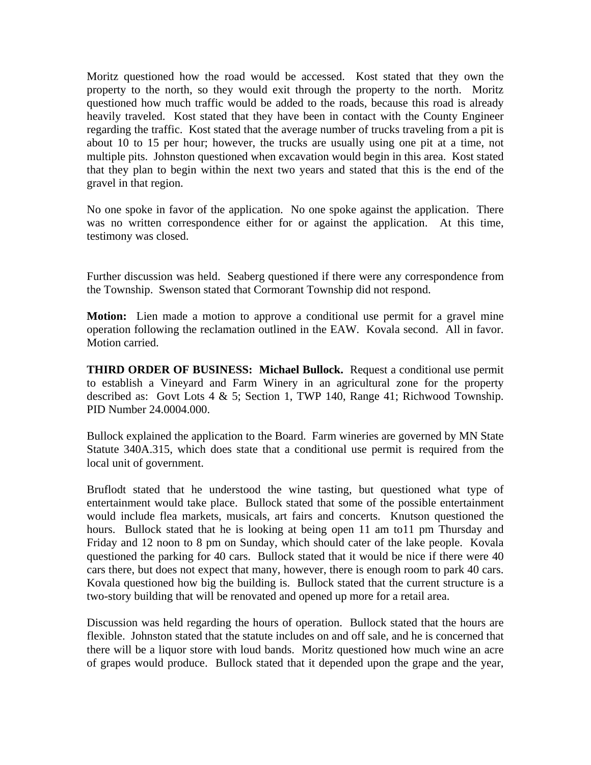Moritz questioned how the road would be accessed. Kost stated that they own the property to the north, so they would exit through the property to the north. Moritz questioned how much traffic would be added to the roads, because this road is already heavily traveled. Kost stated that they have been in contact with the County Engineer regarding the traffic. Kost stated that the average number of trucks traveling from a pit is about 10 to 15 per hour; however, the trucks are usually using one pit at a time, not multiple pits. Johnston questioned when excavation would begin in this area. Kost stated that they plan to begin within the next two years and stated that this is the end of the gravel in that region.

No one spoke in favor of the application. No one spoke against the application. There was no written correspondence either for or against the application. At this time, testimony was closed.

Further discussion was held. Seaberg questioned if there were any correspondence from the Township. Swenson stated that Cormorant Township did not respond.

**Motion:** Lien made a motion to approve a conditional use permit for a gravel mine operation following the reclamation outlined in the EAW. Kovala second. All in favor. Motion carried.

**THIRD ORDER OF BUSINESS: Michael Bullock.** Request a conditional use permit to establish a Vineyard and Farm Winery in an agricultural zone for the property described as: Govt Lots 4 & 5; Section 1, TWP 140, Range 41; Richwood Township. PID Number 24.0004.000.

Bullock explained the application to the Board. Farm wineries are governed by MN State Statute 340A.315, which does state that a conditional use permit is required from the local unit of government.

Bruflodt stated that he understood the wine tasting, but questioned what type of entertainment would take place. Bullock stated that some of the possible entertainment would include flea markets, musicals, art fairs and concerts. Knutson questioned the hours. Bullock stated that he is looking at being open 11 am to11 pm Thursday and Friday and 12 noon to 8 pm on Sunday, which should cater of the lake people. Kovala questioned the parking for 40 cars. Bullock stated that it would be nice if there were 40 cars there, but does not expect that many, however, there is enough room to park 40 cars. Kovala questioned how big the building is. Bullock stated that the current structure is a two-story building that will be renovated and opened up more for a retail area.

Discussion was held regarding the hours of operation. Bullock stated that the hours are flexible. Johnston stated that the statute includes on and off sale, and he is concerned that there will be a liquor store with loud bands. Moritz questioned how much wine an acre of grapes would produce. Bullock stated that it depended upon the grape and the year,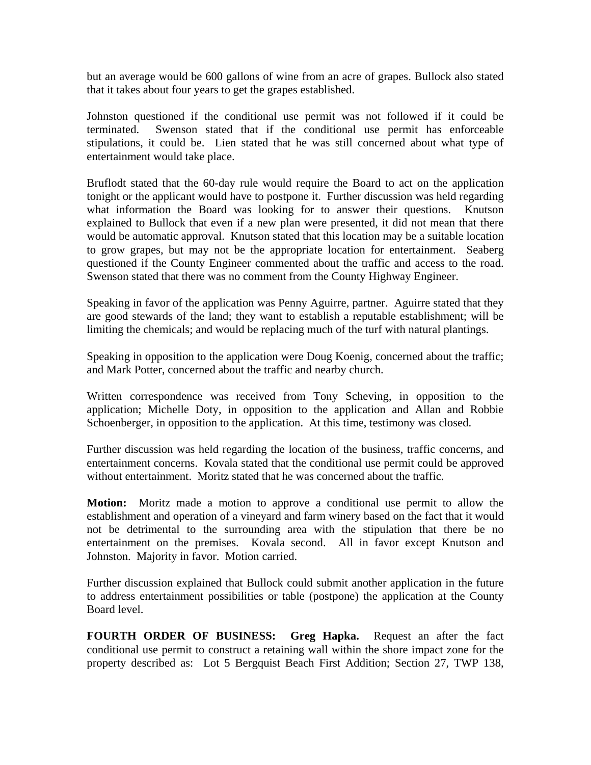but an average would be 600 gallons of wine from an acre of grapes. Bullock also stated that it takes about four years to get the grapes established.

Johnston questioned if the conditional use permit was not followed if it could be terminated. Swenson stated that if the conditional use permit has enforceable stipulations, it could be. Lien stated that he was still concerned about what type of entertainment would take place.

Bruflodt stated that the 60-day rule would require the Board to act on the application tonight or the applicant would have to postpone it. Further discussion was held regarding what information the Board was looking for to answer their questions. Knutson explained to Bullock that even if a new plan were presented, it did not mean that there would be automatic approval. Knutson stated that this location may be a suitable location to grow grapes, but may not be the appropriate location for entertainment. Seaberg questioned if the County Engineer commented about the traffic and access to the road. Swenson stated that there was no comment from the County Highway Engineer.

Speaking in favor of the application was Penny Aguirre, partner. Aguirre stated that they are good stewards of the land; they want to establish a reputable establishment; will be limiting the chemicals; and would be replacing much of the turf with natural plantings.

Speaking in opposition to the application were Doug Koenig, concerned about the traffic; and Mark Potter, concerned about the traffic and nearby church.

Written correspondence was received from Tony Scheving, in opposition to the application; Michelle Doty, in opposition to the application and Allan and Robbie Schoenberger, in opposition to the application. At this time, testimony was closed.

Further discussion was held regarding the location of the business, traffic concerns, and entertainment concerns. Kovala stated that the conditional use permit could be approved without entertainment. Moritz stated that he was concerned about the traffic.

**Motion:** Moritz made a motion to approve a conditional use permit to allow the establishment and operation of a vineyard and farm winery based on the fact that it would not be detrimental to the surrounding area with the stipulation that there be no entertainment on the premises. Kovala second. All in favor except Knutson and Johnston. Majority in favor. Motion carried.

Further discussion explained that Bullock could submit another application in the future to address entertainment possibilities or table (postpone) the application at the County Board level.

**FOURTH ORDER OF BUSINESS: Greg Hapka.** Request an after the fact conditional use permit to construct a retaining wall within the shore impact zone for the property described as: Lot 5 Bergquist Beach First Addition; Section 27, TWP 138,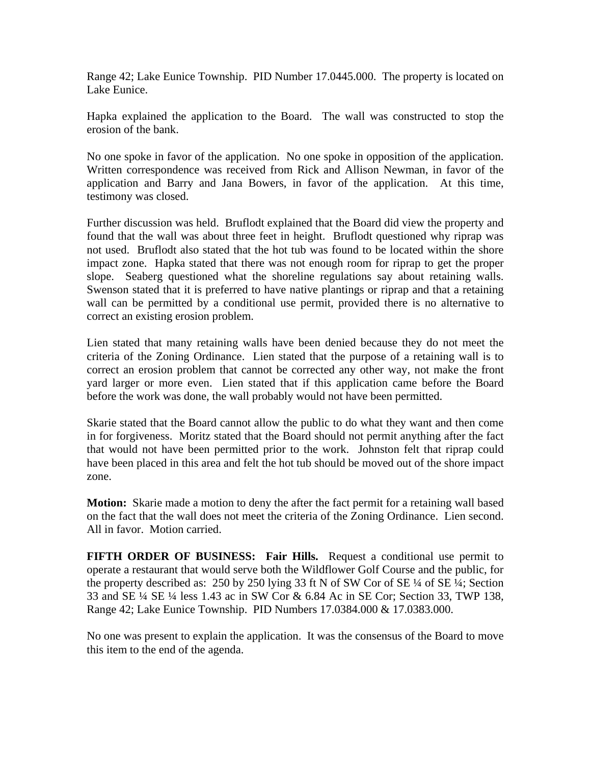Range 42; Lake Eunice Township. PID Number 17.0445.000. The property is located on Lake Eunice.

Hapka explained the application to the Board. The wall was constructed to stop the erosion of the bank.

No one spoke in favor of the application. No one spoke in opposition of the application. Written correspondence was received from Rick and Allison Newman, in favor of the application and Barry and Jana Bowers, in favor of the application. At this time, testimony was closed.

Further discussion was held. Bruflodt explained that the Board did view the property and found that the wall was about three feet in height. Bruflodt questioned why riprap was not used. Bruflodt also stated that the hot tub was found to be located within the shore impact zone. Hapka stated that there was not enough room for riprap to get the proper slope. Seaberg questioned what the shoreline regulations say about retaining walls. Swenson stated that it is preferred to have native plantings or riprap and that a retaining wall can be permitted by a conditional use permit, provided there is no alternative to correct an existing erosion problem.

Lien stated that many retaining walls have been denied because they do not meet the criteria of the Zoning Ordinance. Lien stated that the purpose of a retaining wall is to correct an erosion problem that cannot be corrected any other way, not make the front yard larger or more even. Lien stated that if this application came before the Board before the work was done, the wall probably would not have been permitted.

Skarie stated that the Board cannot allow the public to do what they want and then come in for forgiveness. Moritz stated that the Board should not permit anything after the fact that would not have been permitted prior to the work. Johnston felt that riprap could have been placed in this area and felt the hot tub should be moved out of the shore impact zone.

**Motion:** Skarie made a motion to deny the after the fact permit for a retaining wall based on the fact that the wall does not meet the criteria of the Zoning Ordinance. Lien second. All in favor. Motion carried.

**FIFTH ORDER OF BUSINESS: Fair Hills.** Request a conditional use permit to operate a restaurant that would serve both the Wildflower Golf Course and the public, for the property described as: 250 by 250 lying 33 ft N of SW Cor of SE ¼ of SE ¼; Section 33 and SE ¼ SE ¼ less 1.43 ac in SW Cor & 6.84 Ac in SE Cor; Section 33, TWP 138, Range 42; Lake Eunice Township. PID Numbers 17.0384.000 & 17.0383.000.

No one was present to explain the application. It was the consensus of the Board to move this item to the end of the agenda.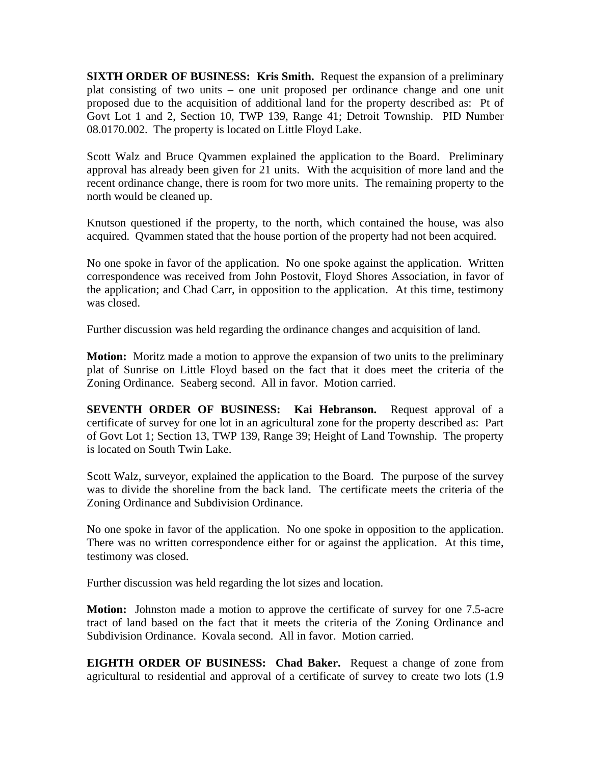**SIXTH ORDER OF BUSINESS: Kris Smith.** Request the expansion of a preliminary plat consisting of two units – one unit proposed per ordinance change and one unit proposed due to the acquisition of additional land for the property described as: Pt of Govt Lot 1 and 2, Section 10, TWP 139, Range 41; Detroit Township. PID Number 08.0170.002. The property is located on Little Floyd Lake.

Scott Walz and Bruce Qvammen explained the application to the Board. Preliminary approval has already been given for 21 units. With the acquisition of more land and the recent ordinance change, there is room for two more units. The remaining property to the north would be cleaned up.

Knutson questioned if the property, to the north, which contained the house, was also acquired. Qvammen stated that the house portion of the property had not been acquired.

No one spoke in favor of the application. No one spoke against the application. Written correspondence was received from John Postovit, Floyd Shores Association, in favor of the application; and Chad Carr, in opposition to the application. At this time, testimony was closed.

Further discussion was held regarding the ordinance changes and acquisition of land.

**Motion:** Moritz made a motion to approve the expansion of two units to the preliminary plat of Sunrise on Little Floyd based on the fact that it does meet the criteria of the Zoning Ordinance. Seaberg second. All in favor. Motion carried.

**SEVENTH ORDER OF BUSINESS: Kai Hebranson.** Request approval of a certificate of survey for one lot in an agricultural zone for the property described as: Part of Govt Lot 1; Section 13, TWP 139, Range 39; Height of Land Township. The property is located on South Twin Lake.

Scott Walz, surveyor, explained the application to the Board. The purpose of the survey was to divide the shoreline from the back land. The certificate meets the criteria of the Zoning Ordinance and Subdivision Ordinance.

No one spoke in favor of the application. No one spoke in opposition to the application. There was no written correspondence either for or against the application. At this time, testimony was closed.

Further discussion was held regarding the lot sizes and location.

**Motion:** Johnston made a motion to approve the certificate of survey for one 7.5-acre tract of land based on the fact that it meets the criteria of the Zoning Ordinance and Subdivision Ordinance. Kovala second. All in favor. Motion carried.

**EIGHTH ORDER OF BUSINESS: Chad Baker.** Request a change of zone from agricultural to residential and approval of a certificate of survey to create two lots (1.9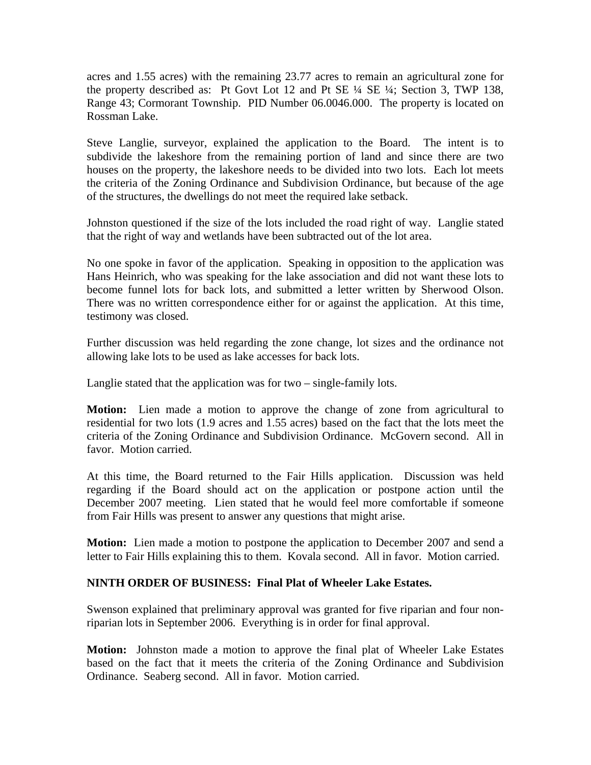acres and 1.55 acres) with the remaining 23.77 acres to remain an agricultural zone for the property described as: Pt Govt Lot 12 and Pt SE ¼ SE ¼; Section 3, TWP 138, Range 43; Cormorant Township. PID Number 06.0046.000. The property is located on Rossman Lake.

Steve Langlie, surveyor, explained the application to the Board. The intent is to subdivide the lakeshore from the remaining portion of land and since there are two houses on the property, the lakeshore needs to be divided into two lots. Each lot meets the criteria of the Zoning Ordinance and Subdivision Ordinance, but because of the age of the structures, the dwellings do not meet the required lake setback.

Johnston questioned if the size of the lots included the road right of way. Langlie stated that the right of way and wetlands have been subtracted out of the lot area.

No one spoke in favor of the application. Speaking in opposition to the application was Hans Heinrich, who was speaking for the lake association and did not want these lots to become funnel lots for back lots, and submitted a letter written by Sherwood Olson. There was no written correspondence either for or against the application. At this time, testimony was closed.

Further discussion was held regarding the zone change, lot sizes and the ordinance not allowing lake lots to be used as lake accesses for back lots.

Langlie stated that the application was for two – single-family lots.

**Motion:** Lien made a motion to approve the change of zone from agricultural to residential for two lots (1.9 acres and 1.55 acres) based on the fact that the lots meet the criteria of the Zoning Ordinance and Subdivision Ordinance. McGovern second. All in favor. Motion carried.

At this time, the Board returned to the Fair Hills application. Discussion was held regarding if the Board should act on the application or postpone action until the December 2007 meeting. Lien stated that he would feel more comfortable if someone from Fair Hills was present to answer any questions that might arise.

**Motion:** Lien made a motion to postpone the application to December 2007 and send a letter to Fair Hills explaining this to them. Kovala second. All in favor. Motion carried.

## **NINTH ORDER OF BUSINESS: Final Plat of Wheeler Lake Estates.**

Swenson explained that preliminary approval was granted for five riparian and four nonriparian lots in September 2006. Everything is in order for final approval.

**Motion:** Johnston made a motion to approve the final plat of Wheeler Lake Estates based on the fact that it meets the criteria of the Zoning Ordinance and Subdivision Ordinance. Seaberg second. All in favor. Motion carried.